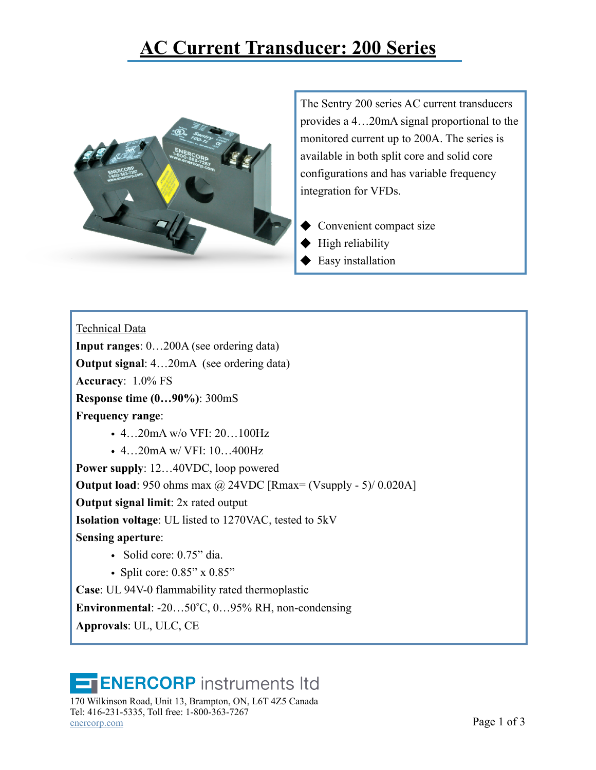## **[AC Current Transducer: 200 Series](https://enercorp.com/products/current/?filter_current=current-transducer)**



The Sentry 200 series AC current transducers provides a 4…20mA signal proportional to the monitored current up to 200A. The series is available in both split core and solid core configurations and has variable frequency integration for VFDs.

- Convenient compact size
- High reliability
- Easy installation

Technical Data

**Input ranges**: 0…200A (see ordering data)

**Output signal**: 4…20mA (see ordering data)

**Accuracy**: 1.0% FS

**Response time (0…90%)**: 300mS

**Frequency range**:

- 4…20mA w/o VFI: 20…100Hz
- 4...20mA w/ VFI: 10...400Hz

**Power supply**: 12…40VDC, loop powered **Output load**: 950 ohms max @ 24VDC [Rmax= (Vsupply - 5)/ 0.020A] **Output signal limit**: 2x rated output **Isolation voltage**: UL listed to 1270VAC, tested to 5kV **Sensing aperture**: • Solid core: 0.75" dia.

• Split core: 0.85" x 0.85"

**Case**: UL 94V-0 flammability rated thermoplastic

**Environmental**: -20…50°C, 0…95% RH, non-condensing

**Approvals**: UL, ULC, CE

## **ENERCORP** instruments Itd

170 Wilkinson Road, Unit 13, Brampton, ON, L6T 4Z5 Canada Tel: 416-231-5335, Toll free: 1-800-363-7267  $Page 1 of 3$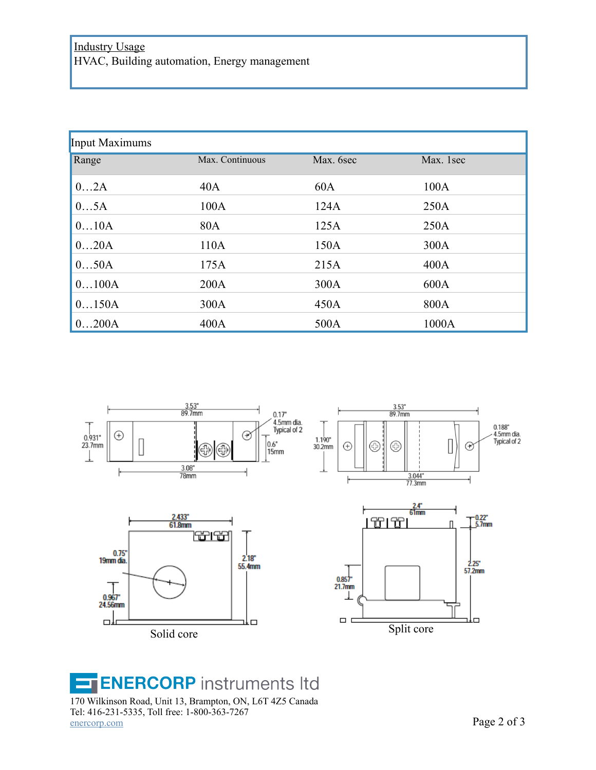| <b>Input Maximums</b> |                 |           |           |
|-----------------------|-----------------|-----------|-----------|
| Range                 | Max. Continuous | Max. 6sec | Max. 1sec |
| 02A                   | 40A             | 60A       | 100A      |
| 05A                   | 100A            | 124A      | 250A      |
| 010A                  | 80A             | 125A      | 250A      |
| 020A                  | 110A            | 150A      | 300A      |
| 050A                  | 175A            | 215A      | 400A      |
| 0100A                 | 200A            | 300A      | 600A      |
| 0150A                 | 300A            | 450A      | 800A      |
| 0200A                 | 400A            | 500A      | 1000A     |



## **ENERCORP** instruments Itd E

170 Wilkinson Road, Unit 13, Brampton, ON, L6T 4Z5 Canada Tel: 416-231-5335, Toll free: 1-800-363-7267  $\frac{\text{energy.com}}{20}$